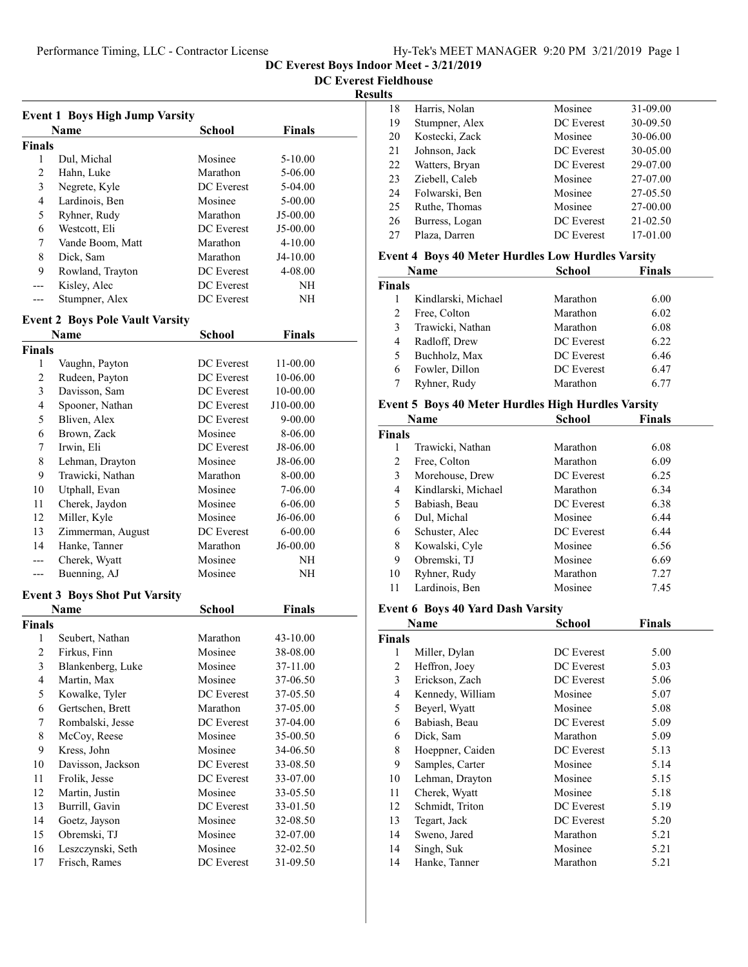DC Everest Boys Indoor Meet - 3/21/2019

DC Everest Fieldhouse

### Results

|                | <b>Event 1 Boys High Jump Varsity</b>  |                    |               |
|----------------|----------------------------------------|--------------------|---------------|
|                | Name                                   | <b>School</b>      | <b>Finals</b> |
| <b>Finals</b>  |                                        |                    |               |
| 1              | Dul, Michal                            | Mosinee            | 5-10.00       |
| 2              | Hahn, Luke                             | Marathon           | 5-06.00       |
| 3              | Negrete, Kyle                          | <b>DC</b> Everest  | 5-04.00       |
| 4              | Lardinois, Ben                         | Mosinee            | 5-00.00       |
| 5              | Ryhner, Rudy                           | Marathon           | J5-00.00      |
| 6              | Westcott, Eli                          | DC Everest         | J5-00.00      |
| 7              | Vande Boom, Matt                       | Marathon           | $4 - 10.00$   |
| 8              | Dick, Sam                              | Marathon           | J4-10.00      |
| 9              | Rowland, Trayton                       | DC Everest         | 4-08.00       |
| ---            | Kisley, Alec                           | DC Everest         | NH            |
| ---            | Stumpner, Alex                         | DC Everest         | NH            |
|                |                                        |                    |               |
|                | <b>Event 2 Boys Pole Vault Varsity</b> |                    |               |
|                | Name                                   | School             | Finals        |
| <b>Finals</b>  |                                        |                    |               |
| 1              | Vaughn, Payton                         | <b>DC</b> Everest  | 11-00.00      |
| $\overline{c}$ | Rudeen, Payton                         | <b>DC</b> Everest  | 10-06.00      |
| 3              | Davisson, Sam                          | DC Everest         | 10-00.00      |
| $\overline{4}$ | Spooner, Nathan                        | DC Everest         | J10-00.00     |
| 5              | Bliven, Alex                           | <b>DC</b> Everest  | 9-00.00       |
| 6              | Brown, Zack                            | Mosinee            | 8-06.00       |
| 7              | Irwin, Eli                             | DC Everest         | J8-06.00      |
| 8              | Lehman, Drayton                        | Mosinee            | J8-06.00      |
| 9              | Trawicki, Nathan                       | Marathon           | 8-00.00       |
| 10             | Utphall, Evan                          | Mosinee            | 7-06.00       |
| 11             | Cherek, Jaydon                         | Mosinee            | 6-06.00       |
| 12             | Miller, Kyle                           | Mosinee            | J6-06.00      |
| 13             | Zimmerman, August                      | DC Everest         | $6 - 00.00$   |
| 14             | Hanke, Tanner                          | Marathon           | J6-00.00      |
| ---            | Cherek, Wyatt                          | Mosinee            | NΗ            |
| ---            | Buenning, AJ                           | Mosinee            | NΗ            |
|                | <b>Event 3 Boys Shot Put Varsity</b>   |                    |               |
|                | <b>Name</b>                            | School             | <b>Finals</b> |
| <b>Finals</b>  |                                        |                    |               |
| 1              | Seubert, Nathan                        | Marathon           | 43-10.00      |
| 2              | Firkus, Finn                           | Mosinee            | 38-08.00      |
| 3              | Blankenberg, Luke                      | Mosinee            | 37-11.00      |
| 4              | Martin, Max                            | Mosinee            | 37-06.50      |
| 5              | Kowalke, Tyler                         | DC Everest         | 37-05.50      |
| 6              | Gertschen, Brett                       | Marathon           | 37-05.00      |
| 7              | Rombalski, Jesse                       | DC Everest         | 37-04.00      |
| 8              | McCoy, Reese                           | Mosinee            | 35-00.50      |
| 9              | Kress, John                            | Mosinee            | 34-06.50      |
| 10             | Davisson, Jackson                      | DC Everest         | 33-08.50      |
| 11             | Frolik, Jesse                          | DC Everest         | 33-07.00      |
| 12             | Martin, Justin                         | Mosinee            | 33-05.50      |
| 13             | Burrill, Gavin                         | DC Everest         | 33-01.50      |
| 14             | Goetz, Jayson                          | Mosinee            | 32-08.50      |
|                |                                        |                    |               |
| 15             | Obremski, TJ                           | Mosinee<br>Mosinee | 32-07.00      |
| 16             | Leszczynski, Seth                      |                    | 32-02.50      |
| 17             | Frisch, Rames                          | DC Everest         | 31-09.50      |

| 18 | Harris, Nolan  | Mosinee           | 31-09.00     |
|----|----------------|-------------------|--------------|
| 19 | Stumpner, Alex | <b>DC</b> Everest | 30-09.50     |
| 20 | Kostecki, Zack | Mosinee           | 30-06.00     |
| 21 | Johnson, Jack  | <b>DC</b> Everest | 30-05.00     |
| 22 | Watters, Bryan | DC Everest        | 29-07.00     |
| 23 | Ziebell, Caleb | Mosinee           | 27-07.00     |
| 24 | Folwarski, Ben | Mosinee           | 27-05.50     |
| 25 | Ruthe, Thomas  | Mosinee           | 27-00.00     |
| 26 | Burress, Logan | <b>DC</b> Everest | $21 - 02.50$ |
| 27 | Plaza, Darren  | <b>DC</b> Everest | 17-01.00     |
|    |                |                   |              |

### Event 4 Boys 40 Meter Hurdles Low Hurdles Varsity

|               | Name                | <b>School</b>     | <b>Finals</b> |  |
|---------------|---------------------|-------------------|---------------|--|
| <b>Finals</b> |                     |                   |               |  |
|               | Kindlarski, Michael | Marathon          | 6.00          |  |
| 2             | Free, Colton        | Marathon          | 6.02          |  |
| 3             | Trawicki, Nathan    | Marathon          | 6.08          |  |
| 4             | Radloff, Drew       | DC Everest        | 6.22          |  |
| 5             | Buchholz, Max       | DC Everest        | 6.46          |  |
| 6             | Fowler, Dillon      | <b>DC</b> Everest | 6.47          |  |
|               | Ryhner, Rudy        | Marathon          | 6.77          |  |

# Event 5 Boys 40 Meter Hurdles High Hurdles Varsity

|               | Name                | School            | <b>Finals</b> |
|---------------|---------------------|-------------------|---------------|
| <b>Finals</b> |                     |                   |               |
| 1             | Trawicki, Nathan    | Marathon          | 6.08          |
| 2             | Free, Colton        | Marathon          | 6.09          |
| 3             | Morehouse, Drew     | DC Everest        | 6.25          |
| 4             | Kindlarski, Michael | Marathon          | 6.34          |
| 5             | Babiash, Beau       | DC Everest        | 6.38          |
| 6             | Dul, Michal         | Mosinee           | 6.44          |
| 6             | Schuster, Alec      | <b>DC</b> Everest | 6.44          |
| 8             | Kowalski, Cyle      | Mosinee           | 6.56          |
| 9             | Obremski, TJ        | Mosinee           | 6.69          |
| 10            | Ryhner, Rudy        | Marathon          | 7.27          |
| 11            | Lardinois, Ben      | Mosinee           | 7.45          |

### Event 6 Boys 40 Yard Dash Varsity

|        | Name             | <b>School</b> | <b>Finals</b> |  |
|--------|------------------|---------------|---------------|--|
| Finals |                  |               |               |  |
| 1      | Miller, Dylan    | DC Everest    | 5.00          |  |
| 2      | Heffron, Joey    | DC Everest    | 5.03          |  |
| 3      | Erickson, Zach   | DC Everest    | 5.06          |  |
| 4      | Kennedy, William | Mosinee       | 5.07          |  |
| 5      | Beyerl, Wyatt    | Mosinee       | 5.08          |  |
| 6      | Babiash, Beau    | DC Everest    | 5.09          |  |
| 6      | Dick, Sam        | Marathon      | 5.09          |  |
| 8      | Hoeppner, Caiden | DC Everest    | 5.13          |  |
| 9      | Samples, Carter  | Mosinee       | 5.14          |  |
| 10     | Lehman, Drayton  | Mosinee       | 5.15          |  |
| 11     | Cherek, Wyatt    | Mosinee       | 5.18          |  |
| 12     | Schmidt, Triton  | DC Everest    | 5.19          |  |
| 13     | Tegart, Jack     | DC Everest    | 5.20          |  |
| 14     | Sweno, Jared     | Marathon      | 5.21          |  |
| 14     | Singh, Suk       | Mosinee       | 5.21          |  |
| 14     | Hanke, Tanner    | Marathon      | 5.21          |  |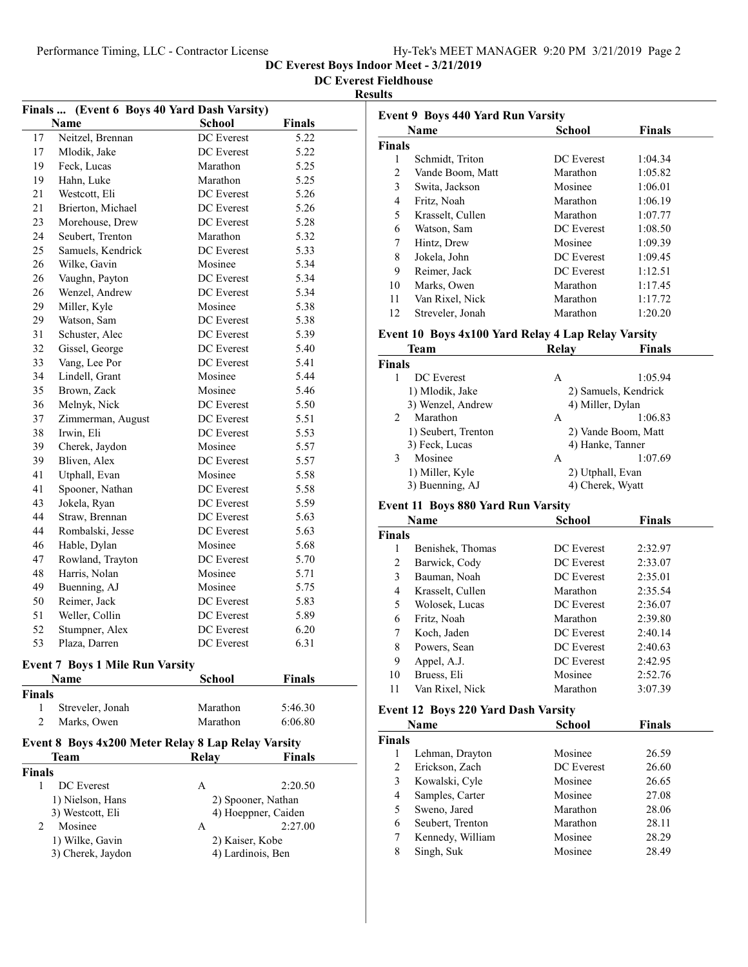DC Everest Boys Indoor Meet - 3/21/2019

DC Everest Fieldhouse

#### Results

| Finals        |                                                    | (Event 6 Boys 40 Yard Dash Varsity) |               |  |
|---------------|----------------------------------------------------|-------------------------------------|---------------|--|
|               | <b>Name</b>                                        | <b>School</b>                       | <b>Finals</b> |  |
| 17            | Neitzel, Brennan                                   | DC Everest                          | 5.22          |  |
| 17            | Mlodik, Jake                                       | DC Everest                          | 5.22          |  |
| 19            | Feck. Lucas                                        | Marathon                            | 5.25          |  |
| 19            | Hahn, Luke                                         | Marathon                            | 5.25          |  |
| 21            | Westcott, Eli                                      | DC Everest                          | 5.26          |  |
| 21            | Brierton, Michael                                  | DC Everest                          | 5.26          |  |
| 23            | Morehouse, Drew                                    | DC Everest                          | 5.28          |  |
| 24            | Seubert, Trenton                                   | Marathon                            | 5.32          |  |
| 25            | Samuels, Kendrick                                  | DC Everest                          | 5.33          |  |
| 26            | Wilke, Gavin                                       | Mosinee                             | 5.34          |  |
| 26            | Vaughn, Payton                                     | DC Everest                          | 5.34          |  |
| 26            | Wenzel, Andrew                                     | DC Everest                          | 5.34          |  |
| 29            | Miller, Kyle                                       | Mosinee                             | 5.38          |  |
| 29            | Watson, Sam                                        | DC Everest                          | 5.38          |  |
| 31            | Schuster, Alec                                     | DC Everest                          | 5.39          |  |
| 32            | Gissel, George                                     | DC Everest                          | 5.40          |  |
| 33            | Vang, Lee Por                                      | DC Everest                          | 5.41          |  |
| 34            | Lindell, Grant                                     | Mosinee                             | 5.44          |  |
| 35            | Brown, Zack                                        | Mosinee                             | 5.46          |  |
| 36            | Melnyk, Nick                                       | DC Everest                          | 5.50          |  |
| 37            | Zimmerman, August                                  | DC Everest                          | 5.51          |  |
| 38            | Irwin. Eli                                         | DC Everest                          | 5.53          |  |
| 39            | Cherek, Jaydon                                     | Mosinee                             | 5.57          |  |
| 39            | Bliven, Alex                                       | DC Everest                          | 5.57          |  |
| 41            | Utphall, Evan                                      | Mosinee                             | 5.58          |  |
| 41            | Spooner, Nathan                                    | DC Everest                          | 5.58          |  |
| 43            | Jokela, Ryan                                       | DC Everest                          | 5.59          |  |
| 44            | Straw, Brennan                                     | DC Everest                          | 5.63          |  |
| 44            | Rombalski, Jesse                                   | DC Everest                          | 5.63          |  |
| 46            | Hable, Dylan                                       | Mosinee                             | 5.68          |  |
| 47            | Rowland, Trayton                                   | DC Everest                          | 5.70          |  |
| 48            | Harris, Nolan                                      | Mosinee                             | 5.71          |  |
| 49            | Buenning, AJ                                       | Mosinee                             | 5.75          |  |
| 50            | Reimer, Jack                                       | DC Everest                          | 5.83          |  |
| 51            | Weller, Collin                                     | DC Everest                          | 5.89          |  |
| 52            | Stumpner, Alex                                     | <b>DC</b> Everest                   | 6.20          |  |
| 53            | Plaza, Darren                                      | DC Everest                          | 6.31          |  |
|               |                                                    |                                     |               |  |
|               | <b>Event 7 Boys 1 Mile Run Varsity</b>             |                                     |               |  |
|               | Name                                               | School                              | <b>Finals</b> |  |
| <b>Finals</b> |                                                    |                                     |               |  |
| 1             | Streveler, Jonah                                   | Marathon                            | 5:46.30       |  |
| 2             | Marks, Owen                                        | Marathon                            | 6:06.80       |  |
|               | Event 8 Boys 4x200 Meter Relay 8 Lap Relay Varsity |                                     |               |  |
|               | Team                                               | Relay                               | <b>Finals</b> |  |
| <b>Finals</b> |                                                    |                                     |               |  |
| $\mathbf{1}$  | DC Everest                                         | A                                   | 2:20.50       |  |
|               | 1) Nielson, Hans                                   | 2) Spooner, Nathan                  |               |  |
|               | 3) Westcott, Eli                                   | 4) Hoeppner, Caiden                 |               |  |
| 2             | Mosinee                                            | А                                   | 2:27.00       |  |
|               | 1) Wilke, Gavin                                    | 2) Kaiser, Kobe                     |               |  |
|               | 3) Cherek, Jaydon                                  | 4) Lardinois, Ben                   |               |  |
|               |                                                    |                                     |               |  |

|        | <b>Event 9 Boys 440 Yard Run Varsity</b><br><b>School</b><br><b>Finals</b><br><b>Name</b> |            |         |  |  |
|--------|-------------------------------------------------------------------------------------------|------------|---------|--|--|
|        |                                                                                           |            |         |  |  |
| Finals |                                                                                           |            |         |  |  |
| 1      | Schmidt, Triton                                                                           | DC Everest | 1:04.34 |  |  |
| 2      | Vande Boom, Matt                                                                          | Marathon   | 1:05.82 |  |  |
| 3      | Swita, Jackson                                                                            | Mosinee    | 1:06.01 |  |  |
| 4      | Fritz, Noah                                                                               | Marathon   | 1:06.19 |  |  |
| 5      | Krasselt, Cullen                                                                          | Marathon   | 1:07.77 |  |  |
| 6      | Watson, Sam                                                                               | DC Everest | 1:08.50 |  |  |
| 7      | Hintz, Drew                                                                               | Mosinee    | 1:09.39 |  |  |
| 8      | Jokela, John                                                                              | DC Everest | 1:09.45 |  |  |
| 9      | Reimer, Jack                                                                              | DC Everest | 1:12.51 |  |  |
| 10     | Marks, Owen                                                                               | Marathon   | 1:17.45 |  |  |
| 11     | Van Rixel, Nick                                                                           | Marathon   | 1:17.72 |  |  |
| 12     | Streveler, Jonah                                                                          | Marathon   | 1:20.20 |  |  |
|        |                                                                                           |            |         |  |  |

### Event 10 Boys 4x100 Yard Relay 4 Lap Relay Varsity

|                | Team                | Relay            | <b>Finals</b>        |
|----------------|---------------------|------------------|----------------------|
| <b>Finals</b>  |                     |                  |                      |
|                | DC Everest          | Α                | 1:05.94              |
|                | 1) Mlodik, Jake     |                  | 2) Samuels, Kendrick |
|                | 3) Wenzel, Andrew   | 4) Miller, Dylan |                      |
| $\mathfrak{D}$ | Marathon            | А                | 1:06.83              |
|                | 1) Seubert, Trenton |                  | 2) Vande Boom, Matt  |
|                | 3) Feck, Lucas      |                  | 4) Hanke, Tanner     |
| 3              | Mosinee             | А                | 1:07.69              |
|                | 1) Miller, Kyle     | 2) Utphall, Evan |                      |
|                | 3) Buenning, AJ     | 4) Cherek, Wyatt |                      |

## Event 11 Boys 880 Yard Run Varsity

|               | Name             | School            | <b>Finals</b> |  |
|---------------|------------------|-------------------|---------------|--|
| <b>Finals</b> |                  |                   |               |  |
| 1             | Benishek, Thomas | DC Everest        | 2:32.97       |  |
| 2             | Barwick, Cody    | <b>DC</b> Everest | 2:33.07       |  |
| 3             | Bauman, Noah     | DC Everest        | 2:35.01       |  |
| 4             | Krasselt, Cullen | Marathon          | 2:35.54       |  |
| 5             | Wolosek, Lucas   | <b>DC</b> Everest | 2:36.07       |  |
| 6             | Fritz, Noah      | Marathon          | 2:39.80       |  |
| 7             | Koch, Jaden      | DC Everest        | 2:40.14       |  |
| 8             | Powers, Sean     | DC Everest        | 2:40.63       |  |
| 9             | Appel, A.J.      | <b>DC</b> Everest | 2:42.95       |  |
| 10            | Bruess, Eli      | Mosinee           | 2:52.76       |  |
| 11            | Van Rixel, Nick  | Marathon          | 3:07.39       |  |

### Event 12 Boys 220 Yard Dash Varsity

| <b>Finals</b><br>26.59 |
|------------------------|
|                        |
|                        |
|                        |
| 26.60                  |
| 26.65                  |
| 27.08                  |
| 28.06                  |
| 28.11                  |
| 28.29                  |
| 28.49                  |
|                        |